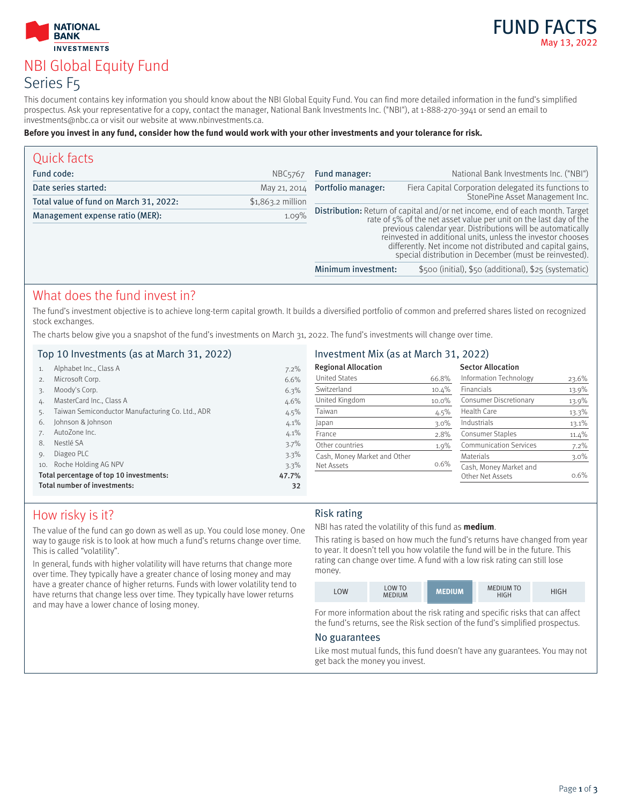



# NBI Global Equity Fund Series F5

This document contains key information you should know about the NBI Global Equity Fund. You can find more detailed information in the fund's simplified prospectus. Ask your representative for a copy, contact the manager, National Bank Investments Inc. ("NBI"), at 1-888-270-3941 or send an email to investments@nbc.ca or visit our website at www.nbinvestments.ca.

#### **Before you invest in any fund, consider how the fund would work with your other investments and your tolerance for risk.**

| Quick facts                            |                     |                                                                                                                                                                                                                                                                                                                                                                                                         |                                                       |
|----------------------------------------|---------------------|---------------------------------------------------------------------------------------------------------------------------------------------------------------------------------------------------------------------------------------------------------------------------------------------------------------------------------------------------------------------------------------------------------|-------------------------------------------------------|
| Fund code:                             | NBC <sub>5767</sub> | Fund manager:                                                                                                                                                                                                                                                                                                                                                                                           | National Bank Investments Inc. ("NBI")                |
| Date series started:                   | May 21, 2014        | Portfolio manager:                                                                                                                                                                                                                                                                                                                                                                                      | Fiera Capital Corporation delegated its functions to  |
| Total value of fund on March 31, 2022: | \$1,863.2 million   |                                                                                                                                                                                                                                                                                                                                                                                                         | StonePine Asset Management Inc.                       |
| Management expense ratio (MER):        | 1.09%               | Distribution: Return of capital and/or net income, end of each month. Target<br>rate of 5% of the net asset value per unit on the last day of the<br>previous calendar year. Distributions will be automatically<br>reinvested in additional units, unless the investor chooses<br>differently. Net income not distributed and capital gains,<br>special distribution in December (must be reinvested). |                                                       |
|                                        |                     | Minimum investment:                                                                                                                                                                                                                                                                                                                                                                                     | \$500 (initial), \$50 (additional), \$25 (systematic) |
|                                        |                     |                                                                                                                                                                                                                                                                                                                                                                                                         |                                                       |

# What does the fund invest in?

The fund's investment objective is to achieve long-term capital growth. It builds a diversified portfolio of common and preferred shares listed on recognized stock exchanges.

The charts below give you a snapshot of the fund's investments on March 31, 2022. The fund's investments will change over time.

### Top 10 Investments (as at March 31, 2022)

| 1.  | Alphabet Inc., Class A                           | 7.2%  |
|-----|--------------------------------------------------|-------|
| 2.  | Microsoft Corp.                                  | 6.6%  |
| 3.  | Moody's Corp.                                    | 6.3%  |
| 4.  | MasterCard Inc., Class A                         | 4.6%  |
| 5.  | Taiwan Semiconductor Manufacturing Co. Ltd., ADR | 4.5%  |
| 6.  | Johnson & Johnson                                | 4.1%  |
| 7.  | AutoZone Inc.                                    | 4.1%  |
| 8.  | Nestlé SA                                        | 3.7%  |
| 9.  | Diageo PLC                                       | 3.3%  |
| 10. | Roche Holding AG NPV                             | 3.3%  |
|     | Total percentage of top 10 investments:          | 47.7% |
|     | Total number of investments:                     | 32    |
|     |                                                  |       |

### Investment Mix (as at March 31, 2022)

| <b>Regional Allocation</b>   |          | <b>Sector Allocation</b>                   |          |
|------------------------------|----------|--------------------------------------------|----------|
| <b>United States</b>         | 66.8%    | Information Technology                     | 23.6%    |
| Switzerland                  | 10.4%    | Financials                                 | 13.9%    |
| United Kingdom               | $10.0\%$ | Consumer Discretionary                     | 13.9%    |
| Taiwan                       | 4.5%     | Health Care                                | 13.3%    |
| Japan                        | $3.0\%$  | Industrials                                | $13.1\%$ |
| France                       | 2.8%     | <b>Consumer Staples</b>                    | $11.4\%$ |
| Other countries              | 1.9%     | <b>Communication Services</b>              | 7.2%     |
| Cash, Money Market and Other |          | Materials                                  | $3.0\%$  |
| Net Assets                   | 0.6%     | Cash, Money Market and<br>Other Net Assets | $0.6\%$  |

# How risky is it?

The value of the fund can go down as well as up. You could lose money. One way to gauge risk is to look at how much a fund's returns change over time. This is called "volatility".

In general, funds with higher volatility will have returns that change more over time. They typically have a greater chance of losing money and may have a greater chance of higher returns. Funds with lower volatility tend to have returns that change less over time. They typically have lower returns and may have a lower chance of losing money.

## Risk rating

NBI has rated the volatility of this fund as **medium**.

This rating is based on how much the fund's returns have changed from year to year. It doesn't tell you how volatile the fund will be in the future. This rating can change over time. A fund with a low risk rating can still lose money.

|  | LOW | <b>LOW TO</b><br><b>MEDIUM</b> | <b>MEDIUM</b> | <b>MEDIUM TO</b><br><b>HIGH</b> | ዘGH |
|--|-----|--------------------------------|---------------|---------------------------------|-----|
|--|-----|--------------------------------|---------------|---------------------------------|-----|

For more information about the risk rating and specific risks that can affect the fund's returns, see the Risk section of the fund's simplified prospectus.

### No guarantees

Like most mutual funds, this fund doesn't have any guarantees. You may not get back the money you invest.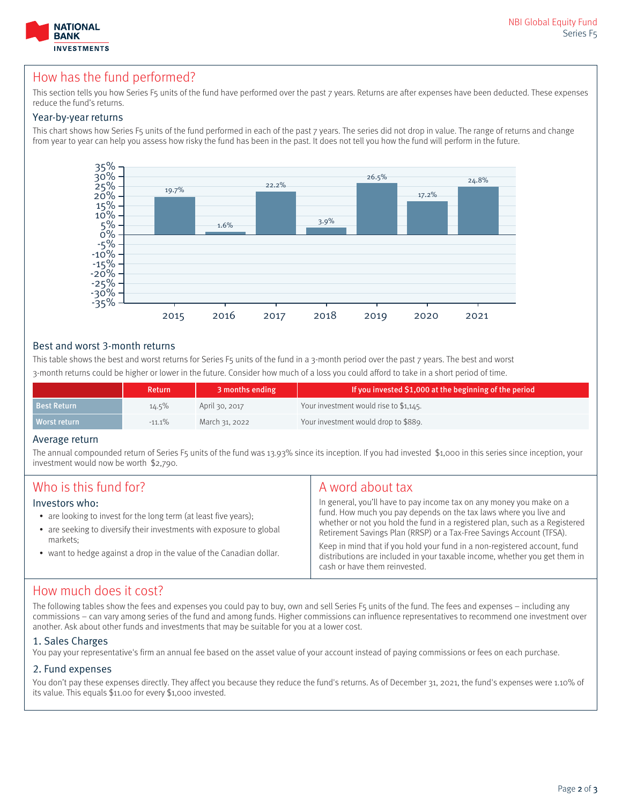

# How has the fund performed?

This section tells you how Series F5 units of the fund have performed over the past 7 years. Returns are after expenses have been deducted. These expenses reduce the fund's returns.

### Year-by-year returns

This chart shows how Series F5 units of the fund performed in each of the past 7 years. The series did not drop in value. The range of returns and change from year to year can help you assess how risky the fund has been in the past. It does not tell you how the fund will perform in the future.



### Best and worst 3-month returns

This table shows the best and worst returns for Series F5 units of the fund in a 3-month period over the past 7 years. The best and worst 3-month returns could be higher or lower in the future. Consider how much of a loss you could afford to take in a short period of time.

|                    | Return    | 3 months ending | If you invested \$1,000 at the beginning of the period |
|--------------------|-----------|-----------------|--------------------------------------------------------|
| <b>Best Return</b> | $14.5\%$  | April 30, 2017  | Your investment would rise to \$1,145.                 |
| Worst return       | $-11.1\%$ | March 31, 2022  | Your investment would drop to \$889.                   |

### Average return

The annual compounded return of Series F5 units of the fund was 13.93% since its inception. If you had invested \$1,000 in this series since inception, your investment would now be worth \$2,790.

| Who is this fund for?<br>Investors who:<br>• are looking to invest for the long term (at least five years);<br>• are seeking to diversify their investments with exposure to global<br>markets:<br>• want to hedge against a drop in the value of the Canadian dollar. | A word about tax<br>In general, you'll have to pay income tax on any money you make on a<br>fund. How much you pay depends on the tax laws where you live and<br>whether or not you hold the fund in a registered plan, such as a Registered<br>Retirement Savings Plan (RRSP) or a Tax-Free Savings Account (TFSA).<br>Keep in mind that if you hold your fund in a non-registered account, fund<br>distributions are included in your taxable income, whether you get them in<br>cash or have them reinvested. |
|------------------------------------------------------------------------------------------------------------------------------------------------------------------------------------------------------------------------------------------------------------------------|------------------------------------------------------------------------------------------------------------------------------------------------------------------------------------------------------------------------------------------------------------------------------------------------------------------------------------------------------------------------------------------------------------------------------------------------------------------------------------------------------------------|
|                                                                                                                                                                                                                                                                        |                                                                                                                                                                                                                                                                                                                                                                                                                                                                                                                  |

# How much does it cost?

The following tables show the fees and expenses you could pay to buy, own and sell Series F5 units of the fund. The fees and expenses – including any commissions – can vary among series of the fund and among funds. Higher commissions can influence representatives to recommend one investment over another. Ask about other funds and investments that may be suitable for you at a lower cost.

### 1. Sales Charges

You pay your representative's firm an annual fee based on the asset value of your account instead of paying commissions or fees on each purchase.

### 2. Fund expenses

You don't pay these expenses directly. They affect you because they reduce the fund's returns. As of December 31, 2021, the fund's expenses were 1.10% of its value. This equals \$11.00 for every \$1,000 invested.